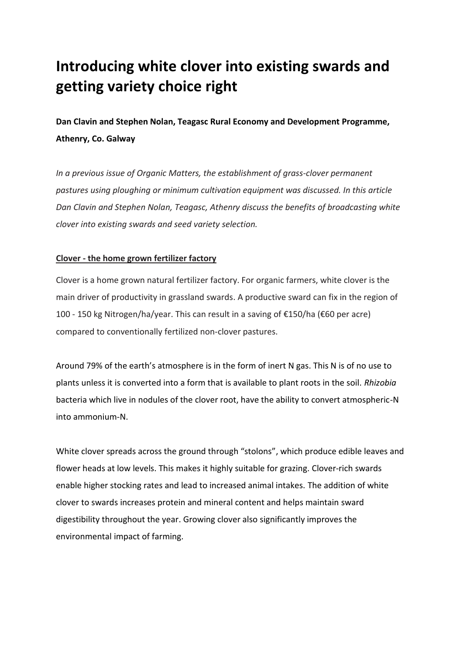# **Introducing white clover into existing swards and getting variety choice right**

**Dan Clavin and Stephen Nolan, Teagasc Rural Economy and Development Programme, Athenry, Co. Galway**

*In a previous issue of Organic Matters, the establishment of grass-clover permanent pastures using ploughing or minimum cultivation equipment was discussed. In this article Dan Clavin and Stephen Nolan, Teagasc, Athenry discuss the benefits of broadcasting white clover into existing swards and seed variety selection.*

# **Clover - the home grown fertilizer factory**

Clover is a home grown natural fertilizer factory. For organic farmers, white clover is the main driver of productivity in grassland swards. A productive sward can fix in the region of 100 - 150 kg Nitrogen/ha/year. This can result in a saving of €150/ha (€60 per acre) compared to conventionally fertilized non-clover pastures.

Around 79% of the earth's atmosphere is in the form of inert N gas. This N is of no use to plants unless it is converted into a form that is available to plant roots in the soil. *Rhizobia*  bacteria which live in nodules of the clover root, have the ability to convert atmospheric-N into ammonium-N.

White clover spreads across the ground through "stolons", which produce edible leaves and flower heads at low levels. This makes it highly suitable for grazing. Clover-rich swards enable higher stocking rates and lead to increased animal intakes. The addition of white clover to swards increases protein and mineral content and helps maintain sward digestibility throughout the year. Growing clover also significantly improves the environmental impact of farming.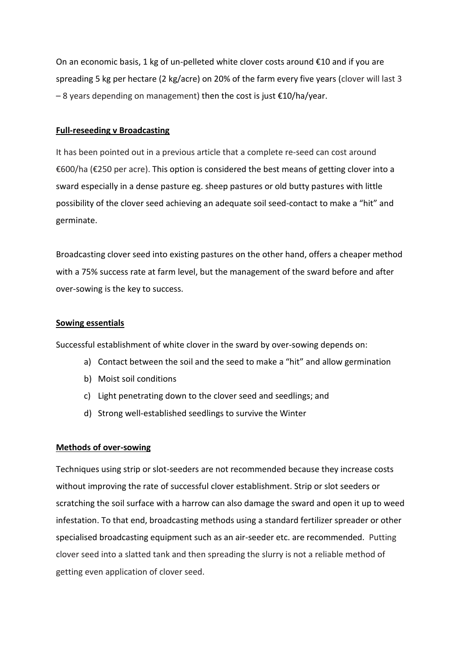On an economic basis, 1 kg of un-pelleted white clover costs around €10 and if you are spreading 5 kg per hectare (2 kg/acre) on 20% of the farm every five years (clover will last 3  $-8$  years depending on management) then the cost is just  $\epsilon$ 10/ha/year.

#### **Full-reseeding v Broadcasting**

It has been pointed out in a previous article that a complete re-seed can cost around €600/ha (€250 per acre). This option is considered the best means of getting clover into a sward especially in a dense pasture eg. sheep pastures or old butty pastures with little possibility of the clover seed achieving an adequate soil seed-contact to make a "hit" and germinate.

Broadcasting clover seed into existing pastures on the other hand, offers a cheaper method with a 75% success rate at farm level, but the management of the sward before and after over-sowing is the key to success.

#### **Sowing essentials**

Successful establishment of white clover in the sward by over-sowing depends on:

- a) Contact between the soil and the seed to make a "hit" and allow germination
- b) Moist soil conditions
- c) Light penetrating down to the clover seed and seedlings; and
- d) Strong well-established seedlings to survive the Winter

#### **Methods of over-sowing**

Techniques using strip or slot-seeders are not recommended because they increase costs without improving the rate of successful clover establishment. Strip or slot seeders or scratching the soil surface with a harrow can also damage the sward and open it up to weed infestation. To that end, broadcasting methods using a standard fertilizer spreader or other specialised broadcasting equipment such as an air-seeder etc. are recommended. Putting clover seed into a slatted tank and then spreading the slurry is not a reliable method of getting even application of clover seed.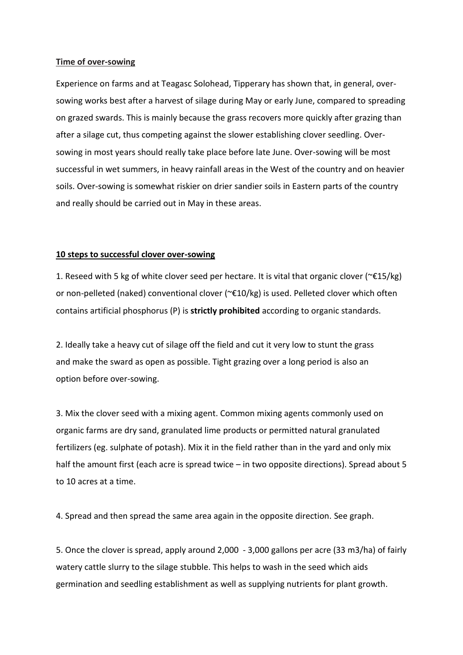#### **Time of over-sowing**

Experience on farms and at Teagasc Solohead, Tipperary has shown that, in general, oversowing works best after a harvest of silage during May or early June, compared to spreading on grazed swards. This is mainly because the grass recovers more quickly after grazing than after a silage cut, thus competing against the slower establishing clover seedling. Oversowing in most years should really take place before late June. Over-sowing will be most successful in wet summers, in heavy rainfall areas in the West of the country and on heavier soils. Over-sowing is somewhat riskier on drier sandier soils in Eastern parts of the country and really should be carried out in May in these areas.

#### **10 steps to successful clover over-sowing**

1. Reseed with 5 kg of white clover seed per hectare. It is vital that organic clover (~ $\epsilon$ 15/kg) or non-pelleted (naked) conventional clover (~€10/kg) is used. Pelleted clover which often contains artificial phosphorus (P) is **strictly prohibited** according to organic standards.

2. Ideally take a heavy cut of silage off the field and cut it very low to stunt the grass and make the sward as open as possible. Tight grazing over a long period is also an option before over-sowing.

3. Mix the clover seed with a mixing agent. Common mixing agents commonly used on organic farms are dry sand, granulated lime products or permitted natural granulated fertilizers (eg. sulphate of potash). Mix it in the field rather than in the yard and only mix half the amount first (each acre is spread twice – in two opposite directions). Spread about 5 to 10 acres at a time.

4. Spread and then spread the same area again in the opposite direction. See graph.

5. Once the clover is spread, apply around 2,000 - 3,000 gallons per acre (33 m3/ha) of fairly watery cattle slurry to the silage stubble. This helps to wash in the seed which aids germination and seedling establishment as well as supplying nutrients for plant growth.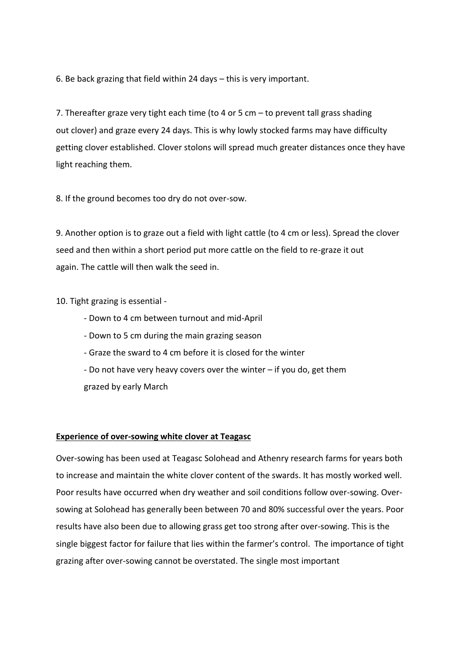6. Be back grazing that field within 24 days – this is very important.

7. Thereafter graze very tight each time (to 4 or 5 cm – to prevent tall grass shading out clover) and graze every 24 days. This is why lowly stocked farms may have difficulty getting clover established. Clover stolons will spread much greater distances once they have light reaching them.

8. If the ground becomes too dry do not over-sow.

9. Another option is to graze out a field with light cattle (to 4 cm or less). Spread the clover seed and then within a short period put more cattle on the field to re-graze it out again. The cattle will then walk the seed in.

10. Tight grazing is essential -

- Down to 4 cm between turnout and mid-April
- Down to 5 cm during the main grazing season
- Graze the sward to 4 cm before it is closed for the winter
- Do not have very heavy covers over the winter if you do, get them grazed by early March

## **Experience of over-sowing white clover at Teagasc**

Over-sowing has been used at Teagasc Solohead and Athenry research farms for years both to increase and maintain the white clover content of the swards. It has mostly worked well. Poor results have occurred when dry weather and soil conditions follow over-sowing. Oversowing at Solohead has generally been between 70 and 80% successful over the years. Poor results have also been due to allowing grass get too strong after over-sowing. This is the single biggest factor for failure that lies within the farmer's control. The importance of tight grazing after over-sowing cannot be overstated. The single most important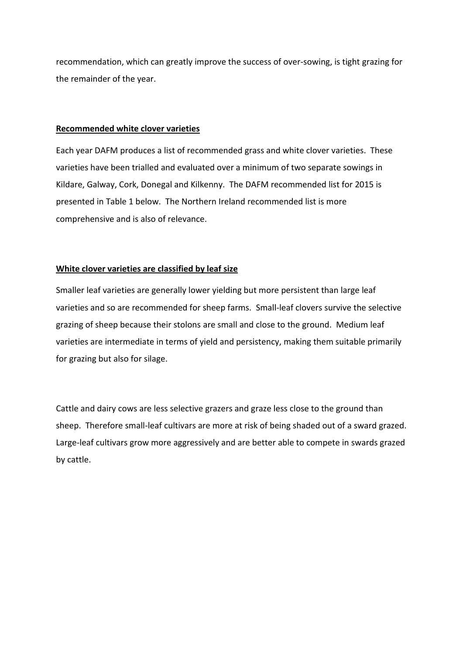recommendation, which can greatly improve the success of over-sowing, is tight grazing for the remainder of the year.

## **Recommended white clover varieties**

Each year DAFM produces a list of recommended grass and white clover varieties. These varieties have been trialled and evaluated over a minimum of two separate sowings in Kildare, Galway, Cork, Donegal and Kilkenny. The DAFM recommended list for 2015 is presented in Table 1 below. The Northern Ireland recommended list is more comprehensive and is also of relevance.

# **White clover varieties are classified by leaf size**

Smaller leaf varieties are generally lower yielding but more persistent than large leaf varieties and so are recommended for sheep farms. Small-leaf clovers survive the selective grazing of sheep because their stolons are small and close to the ground. Medium leaf varieties are intermediate in terms of yield and persistency, making them suitable primarily for grazing but also for silage.

Cattle and dairy cows are less selective grazers and graze less close to the ground than sheep. Therefore small-leaf cultivars are more at risk of being shaded out of a sward grazed. Large-leaf cultivars grow more aggressively and are better able to compete in swards grazed by cattle.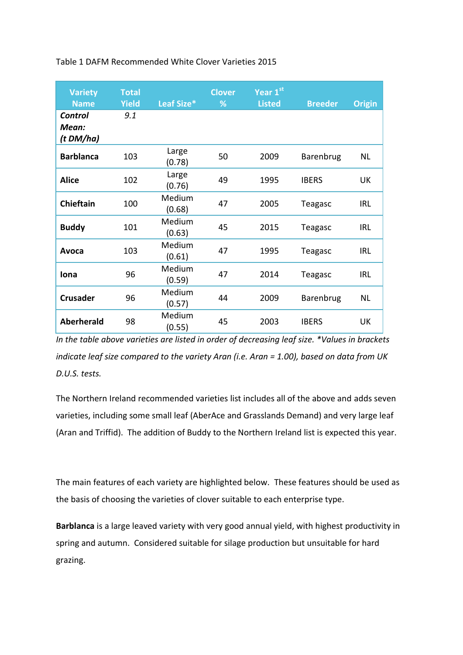Table 1 DAFM Recommended White Clover Varieties 2015

| <b>Variety</b><br><b>Name</b>        | <b>Total</b><br><b>Yield</b> | Leaf Size*       | <b>Clover</b><br>% | Year 1st<br><b>Listed</b> | <b>Breeder</b> | <b>Origin</b> |
|--------------------------------------|------------------------------|------------------|--------------------|---------------------------|----------------|---------------|
| <b>Control</b><br>Mean:<br>(t DM/ha) | 9.1                          |                  |                    |                           |                |               |
| <b>Barblanca</b>                     | 103                          | Large<br>(0.78)  | 50                 | 2009                      | Barenbrug      | NL            |
| <b>Alice</b>                         | 102                          | Large<br>(0.76)  | 49                 | 1995                      | <b>IBERS</b>   | <b>UK</b>     |
| <b>Chieftain</b>                     | 100                          | Medium<br>(0.68) | 47                 | 2005                      | Teagasc        | <b>IRL</b>    |
| <b>Buddy</b>                         | 101                          | Medium<br>(0.63) | 45                 | 2015                      | Teagasc        | <b>IRL</b>    |
| Avoca                                | 103                          | Medium<br>(0.61) | 47                 | 1995                      | Teagasc        | <b>IRL</b>    |
| Iona                                 | 96                           | Medium<br>(0.59) | 47                 | 2014                      | Teagasc        | <b>IRL</b>    |
| <b>Crusader</b>                      | 96                           | Medium<br>(0.57) | 44                 | 2009                      | Barenbrug      | NL            |
| <b>Aberherald</b>                    | 98                           | Medium<br>(0.55) | 45                 | 2003                      | <b>IBERS</b>   | UK            |

*In the table above varieties are listed in order of decreasing leaf size. \*Values in brackets indicate leaf size compared to the variety Aran (i.e. Aran = 1.00), based on data from UK D.U.S. tests.*

The Northern Ireland recommended varieties list includes all of the above and adds seven varieties, including some small leaf (AberAce and Grasslands Demand) and very large leaf (Aran and Triffid). The addition of Buddy to the Northern Ireland list is expected this year.

The main features of each variety are highlighted below. These features should be used as the basis of choosing the varieties of clover suitable to each enterprise type.

**Barblanca** is a large leaved variety with very good annual yield, with highest productivity in spring and autumn. Considered suitable for silage production but unsuitable for hard grazing.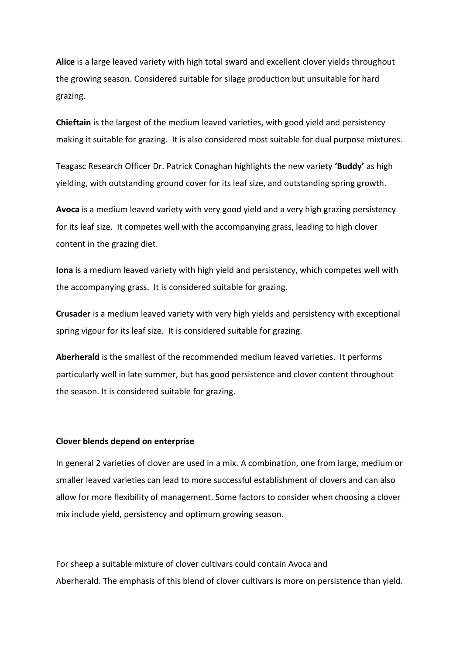**Alice** is a large leaved variety with high total sward and excellent clover yields throughout the growing season. Considered suitable for silage production but unsuitable for hard grazing.

**Chieftain** is the largest of the medium leaved varieties, with good yield and persistency making it suitable for grazing. It is also considered most suitable for dual purpose mixtures.

Teagasc Research Officer Dr. Patrick Conaghan highlights the new variety **'Buddy'** as high yielding, with outstanding ground cover for its leaf size, and outstanding spring growth.

**Avoca** is a medium leaved variety with very good yield and a very high grazing persistency for its leaf size. It competes well with the accompanying grass, leading to high clover content in the grazing diet.

**Iona** is a medium leaved variety with high yield and persistency, which competes well with the accompanying grass. It is considered suitable for grazing.

**Crusader** is a medium leaved variety with very high yields and persistency with exceptional spring vigour for its leaf size. It is considered suitable for grazing.

**Aberherald** is the smallest of the recommended medium leaved varieties. It performs particularly well in late summer, but has good persistence and clover content throughout the season. It is considered suitable for grazing.

#### **Clover blends depend on enterprise**

In general 2 varieties of clover are used in a mix. A combination, one from large, medium or smaller leaved varieties can lead to more successful establishment of clovers and can also allow for more flexibility of management. Some factors to consider when choosing a clover mix include yield, persistency and optimum growing season.

For sheep a suitable mixture of clover cultivars could contain Avoca and Aberherald. The emphasis of this blend of clover cultivars is more on persistence than yield.